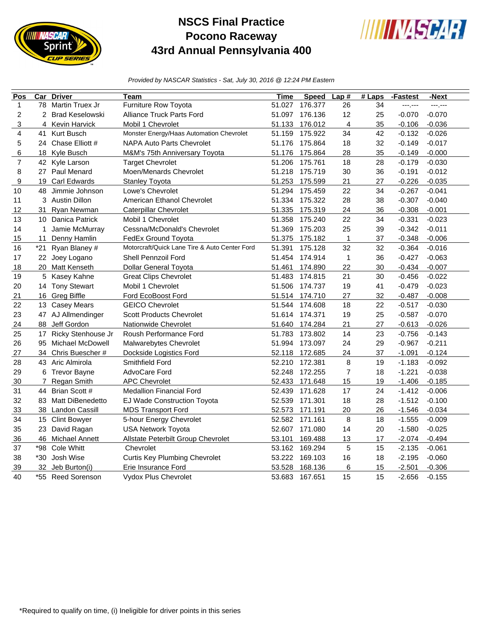

## **NSCS Final Practice Pocono Raceway 43rd Annual Pennsylvania 400**



*Provided by NASCAR Statistics - Sat, July 30, 2016 @ 12:24 PM Eastern*

| Pos            | $\overline{\text{Car}}$ | <b>Driver</b>        | Team                                          | Time   | <b>Speed</b>   | Lap#           | $#$ Laps | -Fastest | -Next    |
|----------------|-------------------------|----------------------|-----------------------------------------------|--------|----------------|----------------|----------|----------|----------|
| $\mathbf{1}$   | 78                      | Martin Truex Jr      | Furniture Row Toyota                          | 51.027 | 176.377        | 26             | 34       | ---;---  | ------   |
| 2              |                         | 2 Brad Keselowski    | <b>Alliance Truck Parts Ford</b>              | 51.097 | 176.136        | 12             | 25       | $-0.070$ | $-0.070$ |
| 3              | 4                       | <b>Kevin Harvick</b> | Mobil 1 Chevrolet                             | 51.133 | 176.012        | $\overline{4}$ | 35       | $-0.106$ | $-0.036$ |
| 4              | 41                      | Kurt Busch           | Monster Energy/Haas Automation Chevrolet      | 51.159 | 175.922        | 34             | 42       | $-0.132$ | $-0.026$ |
| 5              |                         | 24 Chase Elliott #   | <b>NAPA Auto Parts Chevrolet</b>              | 51.176 | 175.864        | 18             | 32       | $-0.149$ | $-0.017$ |
| 6              |                         | 18 Kyle Busch        | M&M's 75th Anniversary Toyota                 | 51.176 | 175.864        | 28             | 35       | $-0.149$ | $-0.000$ |
| $\overline{7}$ | 42                      | Kyle Larson          | <b>Target Chevrolet</b>                       | 51.206 | 175.761        | 18             | 28       | $-0.179$ | $-0.030$ |
| 8              |                         | 27 Paul Menard       | Moen/Menards Chevrolet                        | 51.218 | 175.719        | 30             | 36       | $-0.191$ | $-0.012$ |
| 9              | 19                      | <b>Carl Edwards</b>  | <b>Stanley Toyota</b>                         | 51.253 | 175.599        | 21             | 27       | $-0.226$ | $-0.035$ |
| 10             | 48                      | Jimmie Johnson       | Lowe's Chevrolet                              | 51.294 | 175.459        | 22             | 34       | $-0.267$ | $-0.041$ |
| 11             |                         | 3 Austin Dillon      | American Ethanol Chevrolet                    | 51.334 | 175.322        | 28             | 38       | $-0.307$ | $-0.040$ |
| 12             | 31                      | Ryan Newman          | <b>Caterpillar Chevrolet</b>                  | 51.335 | 175.319        | 24             | 36       | $-0.308$ | $-0.001$ |
| 13             | 10                      | Danica Patrick       | Mobil 1 Chevrolet                             | 51.358 | 175.240        | 22             | 34       | $-0.331$ | $-0.023$ |
| 14             | 1                       | Jamie McMurray       | Cessna/McDonald's Chevrolet                   | 51.369 | 175.203        | 25             | 39       | $-0.342$ | $-0.011$ |
| 15             | 11                      | Denny Hamlin         | FedEx Ground Toyota                           | 51.375 | 175.182        | 1              | 37       | $-0.348$ | $-0.006$ |
| 16             | $*21$                   | Ryan Blaney #        | Motorcraft/Quick Lane Tire & Auto Center Ford | 51.391 | 175.128        | 32             | 32       | $-0.364$ | $-0.016$ |
| 17             |                         | 22 Joey Logano       | <b>Shell Pennzoil Ford</b>                    | 51.454 | 174.914        | $\mathbf{1}$   | 36       | $-0.427$ | $-0.063$ |
| 18             | 20                      | Matt Kenseth         | <b>Dollar General Toyota</b>                  | 51.461 | 174.890        | 22             | 30       | $-0.434$ | $-0.007$ |
| 19             | 5                       | Kasey Kahne          | <b>Great Clips Chevrolet</b>                  | 51.483 | 174.815        | 21             | 30       | $-0.456$ | $-0.022$ |
| 20             |                         | 14 Tony Stewart      | Mobil 1 Chevrolet                             | 51.506 | 174.737        | 19             | 41       | $-0.479$ | $-0.023$ |
| 21             |                         | 16 Greg Biffle       | Ford EcoBoost Ford                            |        | 51.514 174.710 | 27             | 32       | $-0.487$ | $-0.008$ |
| 22             |                         | 13 Casey Mears       | <b>GEICO Chevrolet</b>                        | 51.544 | 174.608        | 18             | 22       | $-0.517$ | $-0.030$ |
| 23             |                         | 47 AJ Allmendinger   | <b>Scott Products Chevrolet</b>               | 51.614 | 174.371        | 19             | 25       | $-0.587$ | $-0.070$ |
| 24             | 88                      | Jeff Gordon          | Nationwide Chevrolet                          | 51.640 | 174.284        | 21             | 27       | $-0.613$ | $-0.026$ |
| 25             | 17                      | Ricky Stenhouse Jr   | Roush Performance Ford                        | 51.783 | 173.802        | 14             | 23       | $-0.756$ | $-0.143$ |
| 26             | 95                      | Michael McDowell     | Malwarebytes Chevrolet                        | 51.994 | 173.097        | 24             | 29       | $-0.967$ | $-0.211$ |
| 27             |                         | 34 Chris Buescher #  | Dockside Logistics Ford                       | 52.118 | 172.685        | 24             | 37       | $-1.091$ | $-0.124$ |
| 28             |                         | 43 Aric Almirola     | Smithfield Ford                               | 52.210 | 172.381        | 8              | 19       | $-1.183$ | $-0.092$ |
| 29             |                         | 6 Trevor Bayne       | AdvoCare Ford                                 | 52.248 | 172.255        | $\overline{7}$ | 18       | $-1.221$ | $-0.038$ |
| 30             | $\overline{7}$          | Regan Smith          | <b>APC Chevrolet</b>                          | 52.433 | 171.648        | 15             | 19       | $-1.406$ | $-0.185$ |
| 31             | 44                      | Brian Scott #        | <b>Medallion Financial Ford</b>               | 52.439 | 171.628        | 17             | 24       | $-1.412$ | $-0.006$ |
| 32             | 83                      | Matt DiBenedetto     | EJ Wade Construction Toyota                   | 52.539 | 171.301        | 18             | 28       | $-1.512$ | $-0.100$ |
| 33             | 38                      | Landon Cassill       | <b>MDS Transport Ford</b>                     | 52.573 | 171.191        | 20             | 26       | $-1.546$ | $-0.034$ |
| 34             |                         | 15 Clint Bowyer      | 5-hour Energy Chevrolet                       | 52.582 | 171.161        | 8              | 18       | $-1.555$ | $-0.009$ |
| 35             | 23                      | David Ragan          | <b>USA Network Toyota</b>                     | 52.607 | 171.080        | 14             | 20       | $-1.580$ | $-0.025$ |
| 36             | 46                      | Michael Annett       | Allstate Peterbilt Group Chevrolet            | 53.101 | 169.488        | 13             | 17       | $-2.074$ | $-0.494$ |
| 37             | *98                     | Cole Whitt           | Chevrolet                                     | 53.162 | 169.294        | 5              | 15       | $-2.135$ | $-0.061$ |
| 38             | *30                     | Josh Wise            | <b>Curtis Key Plumbing Chevrolet</b>          | 53.222 | 169.103        | 16             | 18       | $-2.195$ | $-0.060$ |
| 39             | 32                      | Jeb Burton(i)        | Erie Insurance Ford                           | 53.528 | 168.136        | 6              | 15       | $-2.501$ | $-0.306$ |
| 40             |                         | *55 Reed Sorenson    | Vydox Plus Chevrolet                          | 53.683 | 167.651        | 15             | 15       | $-2.656$ | $-0.155$ |